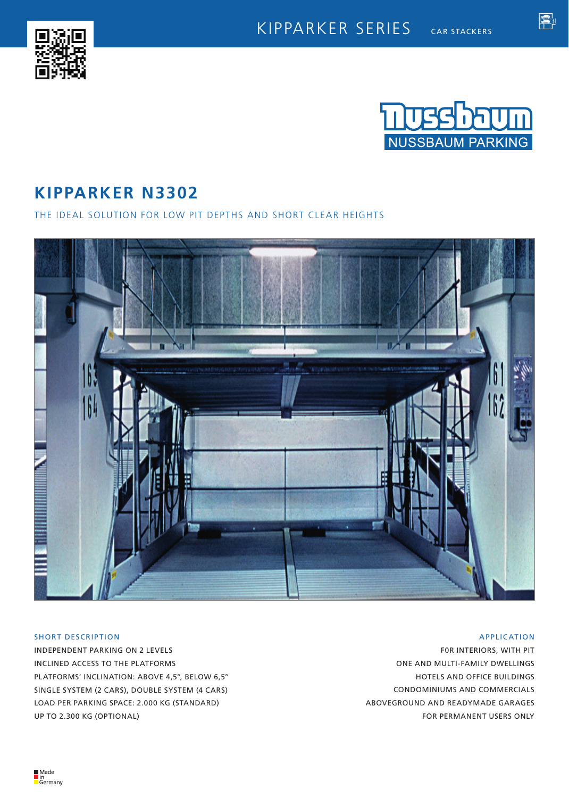



魯

# **KIPPARKER N3302**

THE IDEAL SOLUTION FOR LOW PIT DEPTHS AND SHORT CLEAR HEIGHTS



## SHORT DESCRIPTION

INDEPENDENT PARKING ON 2 LEVELS INCLINED ACCESS TO THE PLATFORMS PLATFORMS' INCLINATION: ABOVE 4,5°, BELOW 6,5° SINGLE SYSTEM (2 CARS), DOUBLE SYSTEM (4 CARS) LOAD PER PARKING SPACE: 2.000 KG (STANDARD) UP TO 2.300 KG (OPTIONAL)

## APPLICATION

F0R INTERIORS, WITH PIT ONE AND MULTI-FAMILY DWELLINGS HOTELS AND OFFICE BUILDINGS CONDOMINIUMS AND COMMERCIALS ABOVEGROUND AND READYMADE GARAGES FOR PERMANENT USERS ONLY

■Made<br>■in<br>■Germany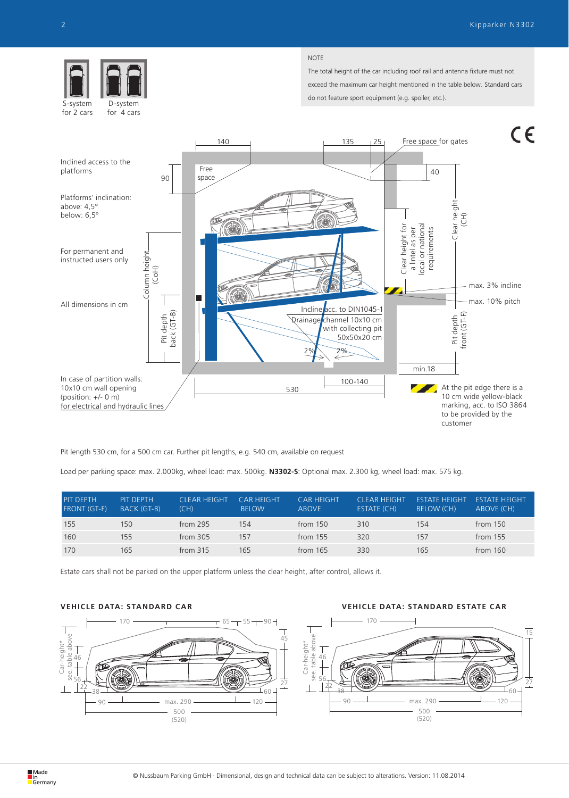

for 4 cars for 2 cars

#### NOTE

The total height of the car including roof rail and antenna fixture must not exceed the maximum car height mentioned in the table below. Standard cars do not feature sport equipment (e.g. spoiler, etc.).



Pit length 530 cm, for a 500 cm car. Further pit lengths, e.g. 540 cm, available on request

Load per parking space: max. 2.000kg, wheel load: max. 500kg. **N3302-S**: Optional max. 2.300 kg, wheel load: max. 575 kg.

| <b>PIT DEPTH</b><br><b>FRONT (GT-F)</b> | PIT DEPTH<br>BACK (GT-B) | <b>CLEAR HEIGHT</b><br>(CH) | CAR HFIGHT<br><b>BELOW</b> | CAR HEIGHT<br><b>ABOVE</b> | CLEAR HEIGHT<br>ESTATE (CH) | <b>FSTATE HEIGHT</b><br><b>BELOW (CH)</b> | <b>ESTATE HEIGHT</b><br>ABOVE (CH) |
|-----------------------------------------|--------------------------|-----------------------------|----------------------------|----------------------------|-----------------------------|-------------------------------------------|------------------------------------|
| 155                                     | 150                      | from $295$                  | 154                        | from $150$                 | 310                         | 154                                       | from $150$                         |
| 160                                     | 155                      | from 305                    | 157                        | from $155$                 | 320                         | 157                                       | from $155$                         |
| 170                                     | 165                      | from 315                    | 165                        | from $165$                 | 330                         | 165                                       | from $160$                         |

Estate cars shall not be parked on the upper platform unless the clear height, after control, allows it.

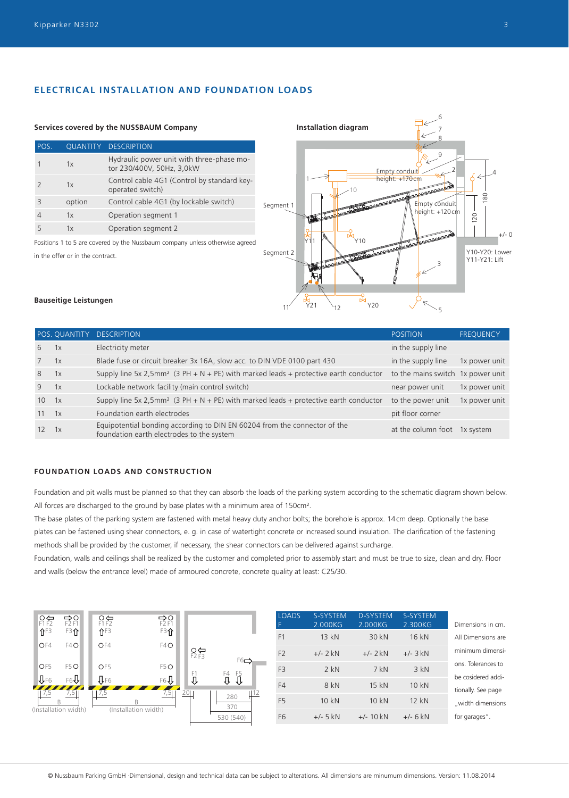## **ELECTRICAL INSTALLATION AND FOUNDATION LOADS**

#### **Services covered by the NUSSBAUM Company Installation diagram**

| POS. |        | <b>QUANTITY DESCRIPTION</b>                                            |
|------|--------|------------------------------------------------------------------------|
|      | 1x     | Hydraulic power unit with three-phase mo-<br>tor 230/400V, 50Hz, 3,0kW |
|      | 1x     | Control cable 4G1 (Control by standard key-<br>operated switch)        |
| Β    | option | Control cable 4G1 (by lockable switch)                                 |
|      | 1x     | Operation segment 1                                                    |
| 5    | 1x     | Operation segment 2                                                    |

Positions 1 to 5 are covered by the Nussbaum company unless otherwise agreed in the offer or in the contract.



#### **Bauseitige Leistungen**

|                                                                                                                        | <b>POSITION</b>           | <b>FREQUENCY</b>                                        |
|------------------------------------------------------------------------------------------------------------------------|---------------------------|---------------------------------------------------------|
| Electricity meter                                                                                                      | in the supply line        |                                                         |
| Blade fuse or circuit breaker 3x 16A, slow acc. to DIN VDE 0100 part 430                                               | in the supply line        | 1x power unit                                           |
| Supply line 5x 2,5mm <sup>2</sup> (3 PH + N + PE) with marked leads + protective earth conductor                       |                           |                                                         |
| Lockable network facility (main control switch)                                                                        | near power unit           | 1x power unit                                           |
| Supply line 5x 2,5mm <sup>2</sup> (3 PH + N + PE) with marked leads + protective earth conductor                       | to the power unit         | 1x power unit                                           |
| Foundation earth electrodes                                                                                            | pit floor corner          |                                                         |
| Equipotential bonding according to DIN EN 60204 from the connector of the<br>foundation earth electrodes to the system |                           | 1x system                                               |
|                                                                                                                        | POS. QUANTITY DESCRIPTION | to the mains switch 1x power unit<br>at the column foot |

## **FOUNDATION LOADS AND CONSTRUCTION**

Foundation and pit walls must be planned so that they can absorb the loads of the parking system according to the schematic diagram shown below. All forces are discharged to the ground by base plates with a minimum area of 150cm<sup>2</sup>.

The base plates of the parking system are fastened with metal heavy duty anchor bolts; the borehole is approx. 14cm deep. Optionally the base plates can be fastened using shear connectors, e. g. in case of watertight concrete or increased sound insulation. The clarification of the fastening methods shall be provided by the customer, if necessary, the shear connectors can be delivered against surcharge.

Foundation, walls and ceilings shall be realized by the customer and completed prior to assembly start and must be true to size, clean and dry. Floor and walls (below the entrance level) made of armoured concrete, concrete quality at least: C25/30.

| 유규<br>$\hat{\mathbf{T}}$ <sup>F3</sup> | $R_{F2}^{\bullet}$<br>F3介    | $\overline{C}$<br>$f$ F3 | D<br>F2F1<br>F3介     |          |                    |
|----------------------------------------|------------------------------|--------------------------|----------------------|----------|--------------------|
| OF4                                    | F <sub>4</sub> O             | OF4                      | F4O                  | $R_{F2}$ | $F6$ $\Rightarrow$ |
| OF5                                    | F <sub>5</sub> O             | OF <sub>5</sub>          | F <sub>5</sub> O     |          |                    |
| $\Psi$ F6                              | F6J                          | $J_{FB}$                 | $F6\sqrt{1}$         | F1       | F5<br>F4           |
|                                        | 7,51<br>(Installation width) | 7,5                      | (Installation width) |          | 280<br>370         |
|                                        |                              |                          |                      |          | 530 (540)          |

| <b>LOADS</b><br>F. | S-SYSTEM<br>2.000KG | <b>D-SYSTEM</b><br>2.000KG | S-SYSTEM<br>2.300KG | Dimensions in cm.                        |
|--------------------|---------------------|----------------------------|---------------------|------------------------------------------|
| F1                 | 13 kN               | 30 kN                      | 16 kN               | All Dimensions are                       |
| F <sub>2</sub>     | $+/- 2$ kN          | $+/- 2$ kN                 | $+/- 3$ kN          | minimum dimensi-                         |
| F <sub>3</sub>     | $2$ kN              | $7$ kN                     | $3$ kN              | ons. Tolerances to                       |
| F4                 | 8 kN                | 15 kN                      | 10 kN               | be cosidered addi-<br>tionally. See page |
| F <sub>5</sub>     | 10 kN               | 10 kN                      | 12 kN               | "width dimensions                        |
| F <sub>6</sub>     | $+/- 5$ kN          | $+/- 10$ kN                | $+/- 6$ kN          | for garages".                            |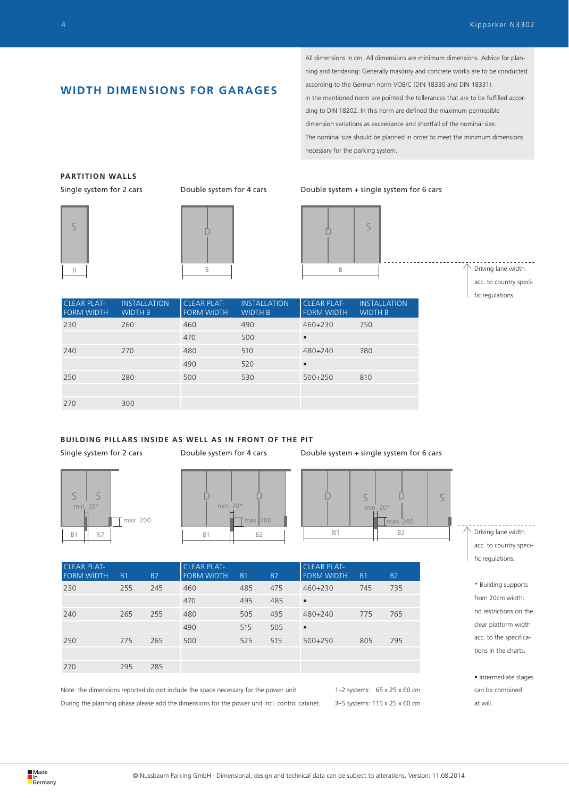## **WIDTH DIMENSIONS FOR GARAGES**

All dimensions in cm. All dimensions are minimum dimensions. Advice for planning and tendering: Generally masonry and concrete works are to be conducted according to the German norm VOB/C (DIN 18330 and DIN 18331). In the mentioned norm are pointed the tollerances that are to be fulfilled according to DIN 18202. In this norm are defined the maximum permissible dimension variations as exceedance and shortfall of the nominal size. The nominal size should be planned in order to meet the minimum dimensions necessary for the parking system.

## **PARTITION WALLS**





#### Single system for 2 cars Double system for 4 cars Double system + single system for 6 cars



Driving lane width acc. to country specific regulations.

| <b>CLEAR PLAT-</b><br><b>FORM WIDTH</b> | <b>INSTALLATION</b><br><b>WIDTH B</b> | <b>CLEAR PLAT-</b><br><b>FORM WIDTH</b> | <b>INSTALLATION</b><br><b>WIDTH B</b> | <b>CLEAR PLAT-</b><br><b>FORM WIDTH</b> | <b>INSTALLATION</b><br><b>WIDTH B</b> |
|-----------------------------------------|---------------------------------------|-----------------------------------------|---------------------------------------|-----------------------------------------|---------------------------------------|
| 230                                     | 260                                   | 460                                     | 490                                   | $460 + 230$                             | 750                                   |
|                                         |                                       | 470                                     | 500                                   | $\bullet$                               |                                       |
| 240                                     | 270                                   | 480                                     | 510                                   | 480+240                                 | 780                                   |
|                                         |                                       | 490                                     | 520                                   | $\bullet$                               |                                       |
| 250                                     | 280                                   | 500                                     | 530                                   | $500 + 250$                             | 810                                   |
|                                         |                                       |                                         |                                       |                                         |                                       |
| 270                                     | 300                                   |                                         |                                       |                                         |                                       |

**BUILDING PILLARS INSIDE AS WELL AS IN FRONT OF THE PIT**





Single system for 2 cars Double system for 4 cars Double system + single system for 6 cars



CLEAR PLAT-FORM WIDTH B1 B2 CLEAR PLAT-FORM WIDTH B1 B2 CLEAR PLAT-FORM WIDTH B1 B2 230 255 245 460 485 475 460+230 745 735 470 495 485 • 240 265 255 480 505 495 480+240 775 765 490 515 505 • 250 275 265 500 525 515 500+250 805 795 270 295 285

Note: the dimensions reported do not include the space necessary for the power unit. During the planning phase please add the dimensions for the power unit incl. control cabinet.

1–2 systems: 65 x 25 x 60 cm 3–5 systems: 115 x 25 x 60 cm Driving lane width acc. to country specific regulations.

\* Building supports from 20cm width: no restrictions on the clear platform width acc. to the specifications in the charts.

• Intermediate stages can be combined at will.

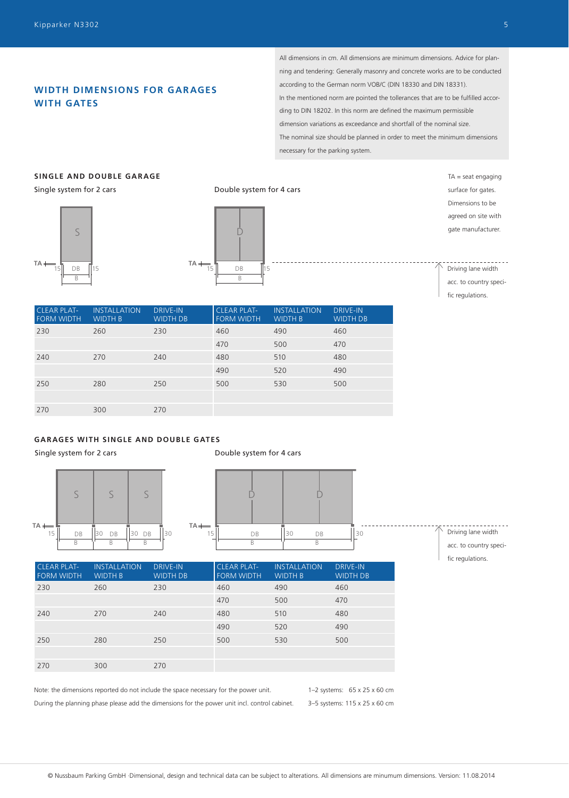## **WIDTH DIMENSIONS FOR GARAGES WITH GATES**

All dimensions in cm. All dimensions are minimum dimensions. Advice for planning and tendering: Generally masonry and concrete works are to be conducted according to the German norm VOB/C (DIN 18330 and DIN 18331). In the mentioned norm are pointed the tollerances that are to be fulfilled according to DIN 18202. In this norm are defined the maximum permissible dimension variations as exceedance and shortfall of the nominal size. The nominal size should be planned in order to meet the minimum dimensions necessary for the parking system.

## **SINGLE AND DOUBLE GARAGE**

Single system for 2 cars





Double system for 4 cars

 $TA =$  seat engaging surface for gates. Dimensions to be agreed on site with gate manufacturer.

Driving lane width acc. to country specific regulations.

| <b>CLEAR PLAT-</b><br><b>FORM WIDTH</b> | <b>INSTALLATION</b><br><b>WIDTH B</b> | <b>DRIVE-IN</b><br><b>WIDTH DB</b> | <b>CLEAR PLAT-</b><br><b>FORM WIDTH</b> | <b>INSTALLATION</b><br><b>WIDTH B</b> | <b>DRIVE-IN</b><br><b>WIDTH DB</b> |
|-----------------------------------------|---------------------------------------|------------------------------------|-----------------------------------------|---------------------------------------|------------------------------------|
| 230                                     | 260                                   | 230                                | 460                                     | 490                                   | 460                                |
|                                         |                                       |                                    | 470                                     | 500                                   | 470                                |
| 240                                     | 270                                   | 240                                | 480                                     | 510                                   | 480                                |
|                                         |                                       |                                    | 490                                     | 520                                   | 490                                |
| 250                                     | 280                                   | 250                                | 500                                     | 530                                   | 500                                |
|                                         |                                       |                                    |                                         |                                       |                                    |
| 270                                     | 300                                   | 270                                |                                         |                                       |                                    |

## **GARAGES WITH SINGLE AND DOUBLE GATES**

Single system for 2 cars

Double system for 4 cars





Driving lane width

acc. to country specific regulations.

| <b>CLEAR PLAT-</b><br><b>FORM WIDTH</b> | <b>INSTALLATION</b><br><b>WIDTH B</b> | <b>DRIVE-IN</b><br><b>WIDTH DB</b> | <b>CLEAR PLAT-</b><br><b>FORM WIDTH</b> | <b>INSTALLATION</b><br><b>WIDTH B</b> | <b>DRIVE-IN</b><br><b>WIDTH DB</b> |
|-----------------------------------------|---------------------------------------|------------------------------------|-----------------------------------------|---------------------------------------|------------------------------------|
| 230                                     | 260                                   | 230                                | 460                                     | 490                                   | 460                                |
|                                         |                                       |                                    | 470                                     | 500                                   | 470                                |
| 240                                     | 270                                   | 240                                | 480                                     | 510                                   | 480                                |
|                                         |                                       |                                    | 490                                     | 520                                   | 490                                |
| 250                                     | 280                                   | 250                                | 500                                     | 530                                   | 500                                |
|                                         |                                       |                                    |                                         |                                       |                                    |
| 270                                     | 300                                   | 270                                |                                         |                                       |                                    |
|                                         |                                       |                                    |                                         |                                       |                                    |

Note: the dimensions reported do not include the space necessary for the power unit. During the planning phase please add the dimensions for the power unit incl. control cabinet.

1–2 systems: 65 x 25 x 60 cm 3–5 systems: 115 x 25 x 60 cm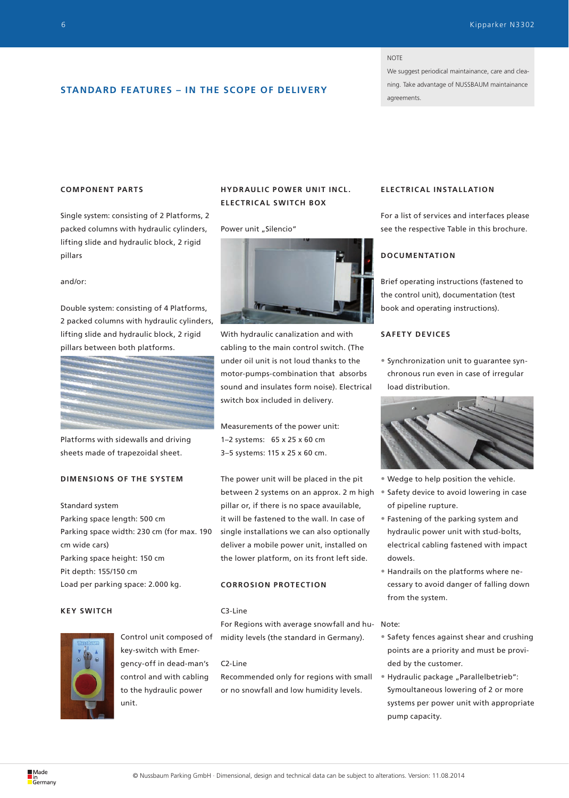#### NOTE

We suggest periodical maintainance, care and cleaning. Take advantage of NUSSBAUM maintainance agreements.

## **STANDARD FEATURES – IN THE SCOPE OF DELIVERY**

## **COMPONENT PARTS**

Single system: consisting of 2 Platforms, 2 packed columns with hydraulic cylinders, lifting slide and hydraulic block, 2 rigid pillars

#### and/or:

Double system: consisting of 4 Platforms, 2 packed columns with hydraulic cylinders, lifting slide and hydraulic block, 2 rigid pillars between both platforms.



Platforms with sidewalls and driving sheets made of trapezoidal sheet.

## **DIMENSIONS OF THE SYSTEM**

Standard system Parking space length: 500 cm Parking space width: 230 cm (for max. 190 cm wide cars) Parking space height: 150 cm Pit depth: 155/150 cm

Load per parking space: 2.000 kg.

#### **KEY SWITCH**



Control unit composed of key-switch with Emergency-off in dead-man's control and with cabling to the hydraulic power unit.

## **HYDRAULIC POWER UNIT INCL. ELECTRICAL SWITCH BOX**

#### Power unit "Silencio"



With hydraulic canalization and with cabling to the main control switch. (The under oil unit is not loud thanks to the motor-pumps-combination that absorbs sound and insulates form noise). Electrical switch box included in delivery.

Measurements of the power unit: 1–2 systems: 65 x 25 x 60 cm 3–5 systems: 115 x 25 x 60 cm.

The power unit will be placed in the pit between 2 systems on an approx. 2 m high pillar or, if there is no space avauilable, it will be fastened to the wall. In case of single installations we can also optionally deliver a mobile power unit, installed on the lower platform, on its front left side.

### **CORROSION PROTECTION**

#### C3-Line

For Regions with average snowfall and hu-Note: midity levels (the standard in Germany).

#### C2-Line

Recommended only for regions with small or no snowfall and low humidity levels.

## **ELEC TRIC AL INSTALL ATION**

For a list of services and interfaces please see the respective Table in this brochure.

## **DOCUMENTATION**

Brief operating instructions (fastened to the control unit), documentation (test book and operating instructions).

#### **SAFETY DEVICES**

• Synchronization unit to guarantee synchronous run even in case of irregular load distribution.



- Wedge to help position the vehicle.
- Safety device to avoid lowering in case of pipeline rupture.
- Fastening of the parking system and hydraulic power unit with stud-bolts, electrical cabling fastened with impact dowels.
- Handrails on the platforms where necessary to avoid danger of falling down from the system.

- Safety fences against shear and crushing points are a priority and must be provided by the customer.
- Hydraulic package "Parallelbetrieb": Symoultaneous lowering of 2 or more systems per power unit with appropriate pump capacity.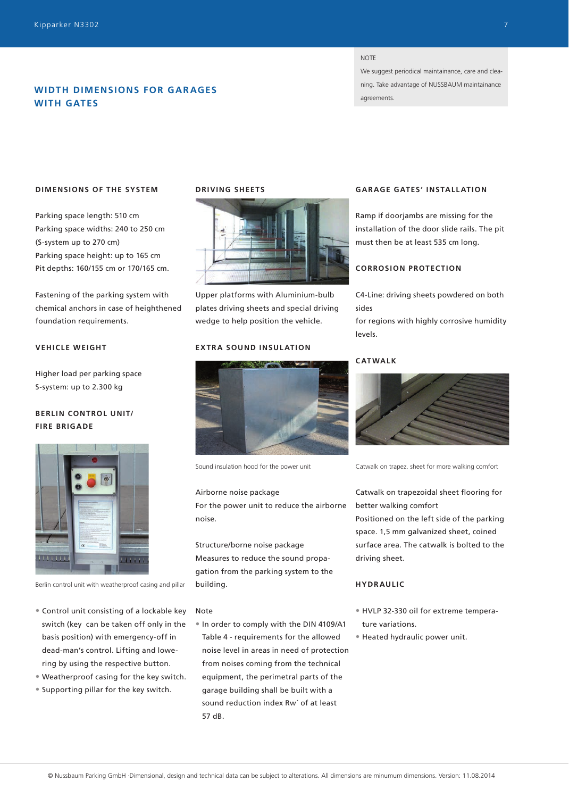## **WIDTH DIMENSIONS FOR GAR AGES WITH GATES**

#### **NOTE**

We suggest periodical maintainance, care and cleaning. Take advantage of NUSSBAUM maintainance agreements.

#### **DIMENSIONS OF THE SYSTEM**

Parking space length: 510 cm Parking space widths: 240 to 250 cm (S-system up to 270 cm) Parking space height: up to 165 cm Pit depths: 160/155 cm or 170/165 cm.

Fastening of the parking system with chemical anchors in case of heighthened foundation requirements.

#### **VEHICLE WEIGHT**

Higher load per parking space S-system: up to 2.300 kg

## **BERLIN CONTROL UNIT/ FIRE BRIGADE**



Berlin control unit with weatherproof casing and pillar

- Control unit consisting of a lockable key switch (key can be taken off only in the basis position) with emergency-off in dead-man's control. Lifting and lowering by using the respective button.
- Weatherproof casing for the key switch.
- Supporting pillar for the key switch.

## **DRIVING SHEETS**



Upper platforms with Aluminium-bulb plates driving sheets and special driving wedge to help position the vehicle.

#### **EXTRA SOUND INSULATION**



Sound insulation hood for the power unit

#### Airborne noise package

For the power unit to reduce the airborne noise.

Structure/borne noise package Measures to reduce the sound propagation from the parking system to the building.

#### Note

• In order to comply with the DIN 4109/A1 Table 4 - requirements for the allowed noise level in areas in need of protection from noises coming from the technical equipment, the perimetral parts of the garage building shall be built with a sound reduction index Rw´ of at least 57 dB.

#### **GAR AGE GATES' INSTALL ATION**

Ramp if doorjambs are missing for the installation of the door slide rails. The pit must then be at least 535 cm long.

#### **CORROSION PROTECTION**

C4-Line: driving sheets powdered on both sides

for regions with highly corrosive humidity levels.

#### **CATWALK**



Catwalk on trapez. sheet for more walking comfort

Catwalk on trapezoidal sheet flooring for better walking comfort

Positioned on the left side of the parking space. 1,5 mm galvanized sheet, coined surface area. The catwalk is bolted to the driving sheet.

### **HYDRAULIC**

- HVLP 32-330 oil for extreme temperature variations.
- Heated hydraulic power unit.